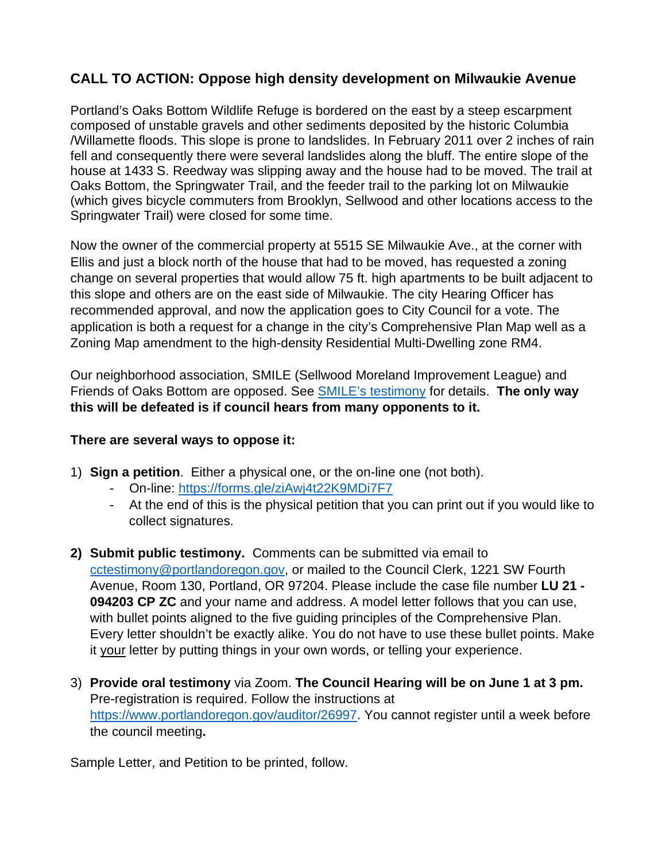## **CALL TO ACTION: Oppose high density development on Milwaukie Avenue**

Portland's Oaks Bottom Wildlife Refuge is bordered on the east by a steep escarpment composed of unstable gravels and other sediments deposited by the historic Columbia /Willamette floods. This slope is prone to landslides. In February 2011 over 2 inches of rain fell and consequently there were several landslides along the bluff. The entire slope of the house at 1433 S. Reedway was slipping away and the house had to be moved. The trail at Oaks Bottom, the Springwater Trail, and the feeder trail to the parking lot on Milwaukie (which gives bicycle commuters from Brooklyn, Sellwood and other locations access to the Springwater Trail) were closed for some time.

Now the owner of the commercial property at 5515 SE Milwaukie Ave., at the corner with Ellis and just a block north of the house that had to be moved, has requested a zoning change on several properties that would allow 75 ft. high apartments to be built adjacent to this slope and others are on the east side of Milwaukie. The city Hearing Officer has recommended approval, and now the application goes to City Council for a vote. The application is both a request for a change in the city's Comprehensive Plan Map well as a Zoning Map amendment to the high-density Residential Multi-Dwelling zone RM4.

Our neighborhood association, SMILE (Sellwood Moreland Improvement League) and Friends of Oaks Bottom are opposed. See [SMILE's testimony](https://sellwood.org/land-use/) for details. **The only way this will be defeated is if council hears from many opponents to it.**

## **There are several ways to oppose it:**

- 1) **Sign a petition**. Either a physical one, or the on-line one (not both).
	- On-line: https://forms.gle/ziAwj4t22K9MDi7F7
	- At the end of this is the physical petition that you can print out if you would like to collect signatures.
- **2) Submit public testimony.** Comments can be submitted via email to cctestimony@portlandoregon.gov, or mailed to the Council Clerk, 1221 SW Fourth Avenue, Room 130, Portland, OR 97204. Please include the case file number **LU 21 - 094203 CP ZC** and your name and address. A model letter follows that you can use, with bullet points aligned to the five guiding principles of the Comprehensive Plan. Every letter shouldn't be exactly alike. You do not have to use these bullet points. Make it your letter by putting things in your own words, or telling your experience.
- 3) **Provide oral testimony** via Zoom. **The Council Hearing will be on June 1 at 3 pm.**  Pre-registration is required. Follow the instructions at [https://www.portlandoregon.gov/auditor/26997.](https://www.portlandoregon.gov/auditor/26997) You cannot register until a week before the council meeting**.**

Sample Letter, and Petition to be printed, follow.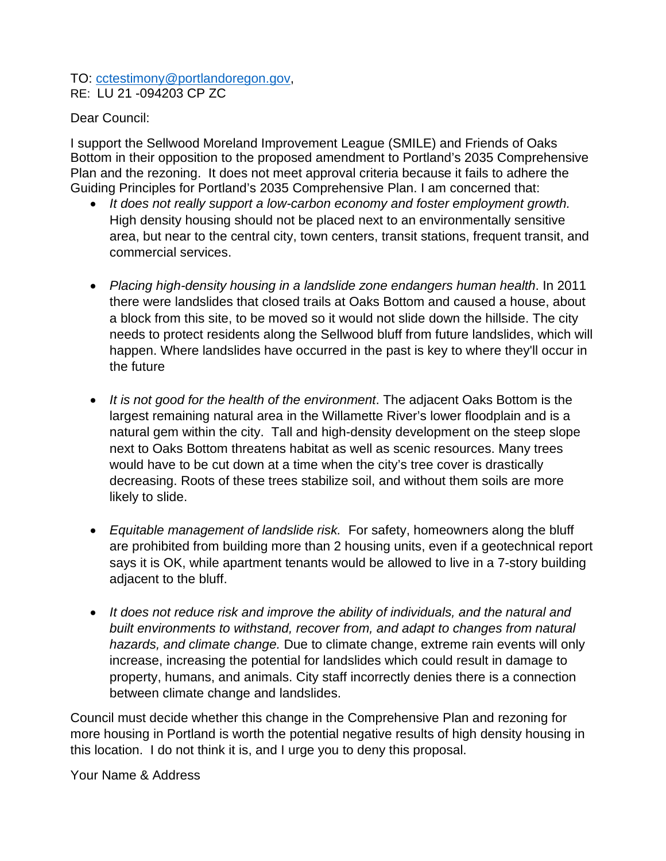## TO: cctestimony@portlandoregon.gov, RE: LU 21 -094203 CP ZC

Dear Council:

I support the Sellwood Moreland Improvement League (SMILE) and Friends of Oaks Bottom in their opposition to the proposed amendment to Portland's 2035 Comprehensive Plan and the rezoning. It does not meet approval criteria because it fails to adhere the Guiding Principles for Portland's 2035 Comprehensive Plan. I am concerned that:

- *It does not really support a low-carbon economy and foster employment growth.*  High density housing should not be placed next to an environmentally sensitive area, but near to the central city, town centers, transit stations, frequent transit, and commercial services.
- *Placing high-density housing in a landslide zone endangers human health*. In 2011 there were landslides that closed trails at Oaks Bottom and caused a house, about a block from this site, to be moved so it would not slide down the hillside. The city needs to protect residents along the Sellwood bluff from future landslides, which will happen. Where landslides have occurred in the past is key to where they'll occur in the future
- *It is not good for the health of the environment*. The adjacent Oaks Bottom is the largest remaining natural area in the Willamette River's lower floodplain and is a natural gem within the city. Tall and high-density development on the steep slope next to Oaks Bottom threatens habitat as well as scenic resources. Many trees would have to be cut down at a time when the city's tree cover is drastically decreasing. Roots of these trees stabilize soil, and without them soils are more likely to slide.
- *Equitable management of landslide risk.* For safety, homeowners along the bluff are prohibited from building more than 2 housing units, even if a geotechnical report says it is OK, while apartment tenants would be allowed to live in a 7-story building adjacent to the bluff.
- *It does not reduce risk and improve the ability of individuals, and the natural and built environments to withstand, recover from, and adapt to changes from natural hazards, and climate change.* Due to climate change, extreme rain events will only increase, increasing the potential for landslides which could result in damage to property, humans, and animals. City staff incorrectly denies there is a connection between climate change and landslides.

Council must decide whether this change in the Comprehensive Plan and rezoning for more housing in Portland is worth the potential negative results of high density housing in this location. I do not think it is, and I urge you to deny this proposal.

Your Name & Address